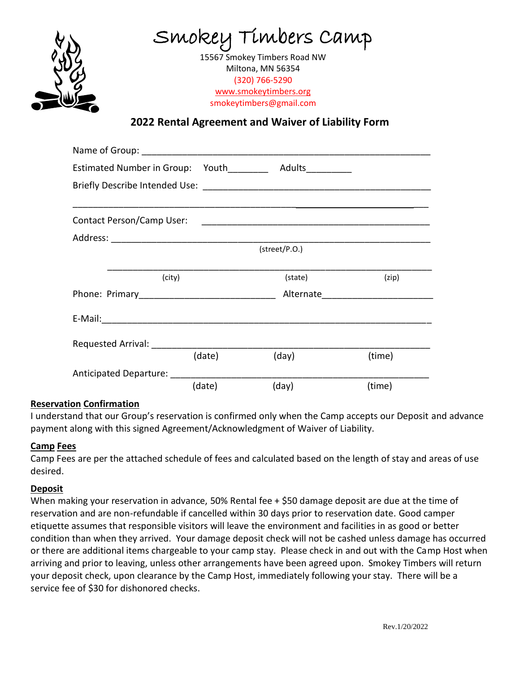

Smokey Timbers Camp

15567 Smokey Timbers Road NW Miltona, MN 56354 (320) 766-5290 [www.smokeytimbers.org](http://www.smokeytimbers.org/) smokeytimbers@gmail.com

**2022 Rental Agreement and Waiver of Liability Form** www

|                           | Estimated Number in Group: Youth_______<br>Adults__________ |               |                                 |  |  |
|---------------------------|-------------------------------------------------------------|---------------|---------------------------------|--|--|
|                           |                                                             |               |                                 |  |  |
| Contact Person/Camp User: |                                                             |               |                                 |  |  |
|                           |                                                             |               |                                 |  |  |
|                           |                                                             | (street/P.O.) |                                 |  |  |
|                           | (city)                                                      | (state)       | (zip)                           |  |  |
|                           |                                                             |               | Alternate______________________ |  |  |
|                           |                                                             |               |                                 |  |  |
| Requested Arrival:        |                                                             |               |                                 |  |  |
|                           | (date)                                                      | (day)         | (time)                          |  |  |
| Anticipated Departure:    |                                                             |               |                                 |  |  |
|                           |                                                             |               |                                 |  |  |

# **Reservation Confirmation**

I understand that our Group's reservation is confirmed only when the Camp accepts our Deposit and advance payment along with this signed Agreement/Acknowledgment of Waiver of Liability.

## **Camp Fees**

Camp Fees are per the attached schedule of fees and calculated based on the length of stay and areas of use desired.

## **Deposit**

When making your reservation in advance, 50% Rental fee + \$50 damage deposit are due at the time of reservation and are non-refundable if cancelled within 30 days prior to reservation date. Good camper etiquette assumes that responsible visitors will leave the environment and facilities in as good or better condition than when they arrived. Your damage deposit check will not be cashed unless damage has occurred or there are additional items chargeable to your camp stay. Please check in and out with the Camp Host when arriving and prior to leaving, unless other arrangements have been agreed upon. Smokey Timbers will return your deposit check, upon clearance by the Camp Host, immediately following your stay. There will be a service fee of \$30 for dishonored checks.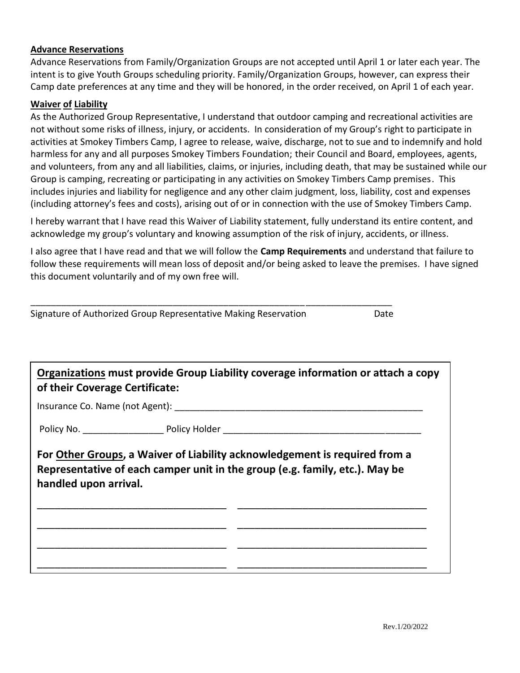#### **Advance Reservations**

Advance Reservations from Family/Organization Groups are not accepted until April 1 or later each year. The intent is to give Youth Groups scheduling priority. Family/Organization Groups, however, can express their Camp date preferences at any time and they will be honored, in the order received, on April 1 of each year.

#### **Waiver of Liability**

As the Authorized Group Representative, I understand that outdoor camping and recreational activities are not without some risks of illness, injury, or accidents. In consideration of my Group's right to participate in activities at Smokey Timbers Camp, I agree to release, waive, discharge, not to sue and to indemnify and hold harmless for any and all purposes Smokey Timbers Foundation; their Council and Board, employees, agents, and volunteers, from any and all liabilities, claims, or injuries, including death, that may be sustained while our Group is camping, recreating or participating in any activities on Smokey Timbers Camp premises. This includes injuries and liability for negligence and any other claim judgment, loss, liability, cost and expenses (including attorney's fees and costs), arising out of or in connection with the use of Smokey Timbers Camp.

I hereby warrant that I have read this Waiver of Liability statement, fully understand its entire content, and acknowledge my group's voluntary and knowing assumption of the risk of injury, accidents, or illness.

I also agree that I have read and that we will follow the **Camp Requirements** and understand that failure to follow these requirements will mean loss of deposit and/or being asked to leave the premises. I have signed this document voluntarily and of my own free will.

\_\_\_\_\_\_\_\_\_\_\_\_\_\_\_\_\_\_\_\_\_\_\_\_\_\_\_\_\_\_\_\_\_\_\_\_\_\_\_\_\_\_\_\_\_\_\_\_\_\_\_\_\_\_\_\_\_\_\_\_\_\_\_\_\_\_\_\_\_\_\_

| Signature of Authorized Group Representative Making Reservation                                                                                                                    |  | Date |  |  |  |
|------------------------------------------------------------------------------------------------------------------------------------------------------------------------------------|--|------|--|--|--|
|                                                                                                                                                                                    |  |      |  |  |  |
| Organizations must provide Group Liability coverage information or attach a copy<br>of their Coverage Certificate:                                                                 |  |      |  |  |  |
|                                                                                                                                                                                    |  |      |  |  |  |
|                                                                                                                                                                                    |  |      |  |  |  |
| For Other Groups, a Waiver of Liability acknowledgement is required from a<br>Representative of each camper unit in the group (e.g. family, etc.). May be<br>handled upon arrival. |  |      |  |  |  |
|                                                                                                                                                                                    |  |      |  |  |  |
|                                                                                                                                                                                    |  |      |  |  |  |
|                                                                                                                                                                                    |  |      |  |  |  |